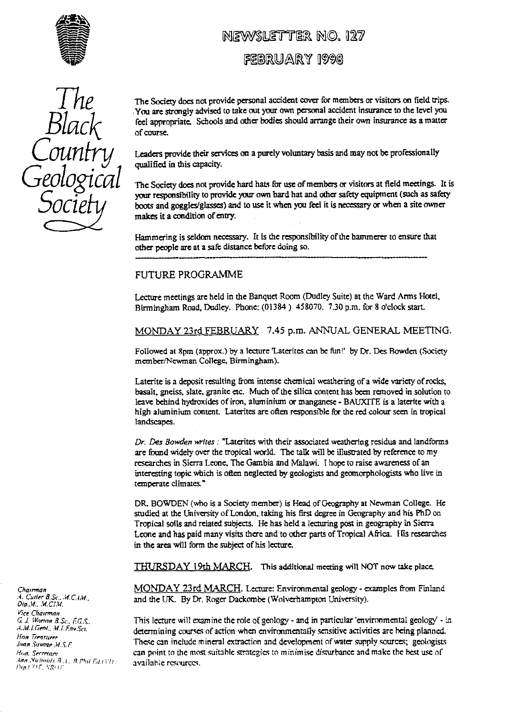

## NEWSLETTER NO. 127

FEBRUARY 1998



 $\mu$  The Society does not provide personal accident cover for members or visitors on field trips.<br>You are strongly advised to take out your own personal accident insurance to the level your. feel appropriate. Schools and other bodies should arrange their own insurance as a matter of course.

> Leaders provide their services on a purely voluntary basis and may not be professionally qualified in this capacity.

The Society does not provide hard hats for use of members or visitors at field meetings. It is your responsibility to provide your own hard hat and other safety equipment (such as safety boots and goggles/glasses) and to use it when you feel it is necessary or when a site owner makes it a condition of ent**ry**.

Hammering is seldom necessary. It is the responsibility of the hammerer to ensure that other people are at a safe distance before doing so.

## FUTURE PROGRAMME

Lecture meetings are held in the Banquet Room (Dudley Suite) at the Ward Arms Hotel, Birmingham Road, Dudley. Phone: (01384) 458070. 7.30 p.m. for 8 o'clock start.

**MONDAY** 23rd **FEBRUARY** 7.45 p.m. ANNUAL GENERAL MEETING.

Followed at s**pm** (approx.) by a **lecture 'Laterites** can **be** fun!' by Dr. D**es** Bowden (Society member/Newman College, Birmingham).

Laterite is a deposit r**es**ulting from intense chemical weathering of a wide variety of rocks, basalt, gneiss, slate, granite etc. Much of the silica content has been removed in solution to leave behind hydroxides of iron, aluminium or manganese - BAUXITE is a late**ri**te with a high aluminium content. Laterites are often responsible for the red colour seen in tropical landscapes.

*Dr. Des Bowden writes:* "Laterites with their associated weathering residua and landforms are found widely over the tropical world. The talk will be illustrated by reference to my researches in Sierra Leone, The Gambia and Malawi. I hope to raise awareness of an interesting topic which is often neglected by geologists and geornorphologists who live in temperate climates."

DR. BOWDEN (who is a Society member) is Head of Geography at Newman College. He studied at the University of London, taking his first degree in Geography and his PhD on Tropical soils and related subjects. He has held a lecturing post in geography in Sierra Leone and has paid many visits there and to other parts of Tropical Africa. His researches in the area will form the subject of his lecture.

THIJRSDAY I9th MARCH. This additional meeting will NOT now take place.

*Chairman* MONDAY 23rd MARCH. Lecture: Environmental geology - examples from Finland (MCA) - camples from Finland<br>A. Cutter B.Sc., M.C.AM. *A. Cutter 3Se...W.C;1,w..* and the UK. By Dr. Roger Dackombe (Wolverhampton University).

*G.1. Worton B.Sc., F.G.S.* This lecture will examine the role of geology - and in particular 'environmental geology' - in<br>A.M.L.Geol., M.L.Env.Sci. **determining courses** of action when environmentally sensitive activities *A.M.I.Geoi.*, M.I. Fay. Sci. determining courses of action when environmentally sensitive activities are being planned.<br>Hon Treasurer *lion leasure M.S.F.* These can include mineral extraction and development of water supply sources; geologists long *form can point to the most suitable strategies to minimise disturbance and make the best use of* p can point to the most suitable strategies to minimise disturbance and make the best use of

V *ice Chairman* Ann *Nicholds B.A., B.Phil Ed.(VI)*. **available resources.**<br>Dig.( O F., SRO F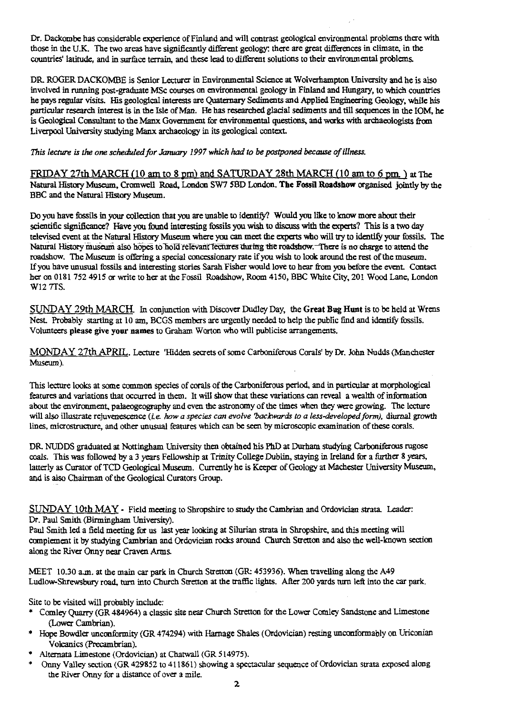Dr. Dackombe has considerable experience of Finland and will contrast geological environmental problems there with those in the U.K. The two areas have significantly different geology: there are great differences in climate, in the countries' latitude, and in surface terrain, and these lead to different solutions to their environmental problems.

DR. ROGER DACKOMBE is Senior Lecturer in Environmental Science at Wolverhampton University and he is also involved in running post-graduate MSc courses on environmental geology in Finland and Hungary, to which countries he pays regular visits. His geological interests are Quaternary Sediments and Applied Engineering Geology, while his particular research interest is in the Isle of Man. He has researched glacial sediments and till sequences in the IOM, he is Geological Consultant to the Manx Government for environmental questions, and works with archaeologists from Liverpool University studying Manx archaeology in its geological context.

*This lecture is the one scheduled for January 1997* which *had to be postponed because of illness.*

FRIDAY 27th MARCH (10 am to 8 pm) and SATURDAY 28th MARCH (10 am to 6 pm.) at The Natural Histo**ry** Museum, Cromwell Road, London SW7 SBD London. The Fossil Roadshow organised **jointly** by the BBC and the Natural History Museum.

Do you have fossils in your collection that you are unable to idemtify? Would you like to know more about their scientific significance? Have you fo**un**d interesting fossils you wish to discuss with the experts? This is a two day televised event at the Natural History Museum where you can meet the **experts** who will try to identify your fossils. The Natural History museum also hopes to hold refevant fectures during the roadshow. There is no charge to attend the roadshow. The Museum is offering a special concessionary rate if you wish to look around the rest of the museum. If you have unusual fossils and interesting stories Sarah Fisher would love to hear from you before the event. Contact her on 0181 752 4915 or write to her at the Fossil Roadshow, Room 4150, BBC White City, 201 Wood Lane, London W12 7TS.

**SUNDAY** 29th MARCH. In conjunction with Discover Dudley Day, the Great Bug Hunt is to be held at Wrens Nest. Probably starting at 10 am, BCGS members are urgently needed to help the public find and identify fossils. Volunteers please give your names to Graham Wo**rt**on who will publicise arrangements.

MONDAY 27th APRIL. Lecture 'Hidden secrets of some Carboniferous Corals' by Dr. John Nudds (Manchester Museum).

This lecture looks at some common species of corals of the Carboniferous period, and in particular at morphological features and variations that occurred in them. It will show that these variations can reveal a wealth of information about the environment, palaeogeogsaphy and even the astronomy of the times when they were growing. The lecture will also illustrate rejuvenescence (i.e. how a species can evolve 'backwards to a less-developed form), diurnal growth lines, micr**ostructur**e, and other unusual features which can be seen by microscopic examination of these corals.

DR. NUODS graduated at Nottingham University then obtained his PhD at Durham studying Carboniferous rugose coals. This was followed by a 3 years Fellowship at Trinity **Co**llege Dublin, staying in Ireland for a further 8 years, latterly as Curator of TCD Geological Museum. Currently he is Keeper of Geology at Machester University Museum, and is also Chairman of the Geological Curators Group.

SUNDAY 10th MAY - Field meeting to Shropshire to study the Cambrian and Ordovician strata. Leader: Dr. Paul Smith (Birmingham University).

Paul Smith led a **field** meeting for us last year looking at Silurian strata in Shropshire, and this meeting will complement it by studying Cambrian and Ordovician rocks around Church Stretton and also the well-known section along the River Onny near Craven Arms.

MEET 10.30 a.m. at the main car park in Church Stretton (GR: 453936). When travelling along the A49 Ludlow-Shrewsbury road, turn into Church Stretton at the traffic lights. After 200 yards turn left into the car park.

Site to be visited will probably include:

- \* Comley Quarry (GR 484964) a classic site near Church Stretton for the Lower Comley Sandstone and Limestone (Lower Cambrian).
- \* Hope Bawdier unconformity (GR 474294) with Harnage Shales (Ordovician) resting unconformably on Uriconian Volcanics (Precambrian).
- Alternata Limestone (Ordovician) at Chatwall (GR 514975).
- \* Onny Valley section (GR 429852 to 411861) showing a spectacular sequence of Ordovician strata exposed along the River Onny for a distance of over a mile.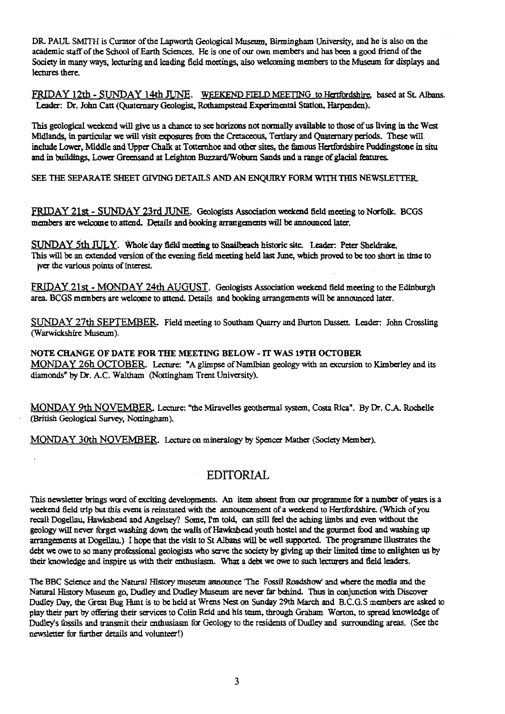DR. PAUL SMITH is Curator of the Lapworth Geological Museum, Birmingham University, and he is also on the academic staff of the School of Earth Sciences. He is one of our own members and has been a good friend of the Society in many ways, lecturing and leading field meetings, also welcoming members to the Museum for displays and lectures there.

FRIDAY 12th - SUNDAY 14th JUNE. WEEKEND FIELD MEETING to Hertfordshire, based at St. Albans. Leader: Dr. John Catt (Quaternary Geologist, Rothampstead Experimental Station, Harpenden).

This geological weekend will give us a chance to see horizons not normally available to those of us living in the West Midlands, in particular we will visit exposures from the Cretaceous, Tertiary and Quaternary periods. These will. include Lower, Middle and Upper Chalk at Totternhoe and other sites, the famous Hertfordshire Puddingstane in situ and in buildings, Lower Greensand at Leighton Buzzard/Woburn Sands and a range of glacial features.

SEE THE SEPARATE SHEET GIVING DETAILS AND AN ENQUIRY FORM WITH THIS NEWSLETTER

FRIDAY 21st - SUNDAY 23rd JUNE. Geologists Association weekend field meeting to Norfolk. BCGS members are welcome to attend. Details and booking arrangements will be announced later.

SUNDAY 5th JULY. Whole day field meeting to Snailbeach historic site. Leader: Peter Sheldrake. This will be an extended version of the evening field meeting held last June, which proved to be too short in time to fiver the various points of interest.

FRIDAY 21st - MONDAY 24th AUGUST. Geologists Association weekend field meeting to the Edinburgh area. BCGS members are welcome to attend. Details and booking arrangements will be announced later.

SUNDAY 27th SEPTEMBER. Field meeting to Southam Quarry and Burton Dassett. Leader: John Crossling (Warwickshire Museum).

**NOTE CHANGE OF DATE FOR THE MEETING BELOW - IT WAS 19TH OCTOBER** MONDAY 26h OCTOBER Lecture: "A glimpse of Namibian geology with an excursion to Kimberley and its diamonds" by Dr. AC. Waltham (Nottingham Trent University).

MONDAY 9th NOVEMBER Lecture: "the Miravelles geothermal system, Costa Rica". By Dr. C.A. Rochelle (British Geological Survey, Nottingham).

MONDAY 30th NOVEMBER. Lecture on mineralogy by Spencer Mather (Society Member).

## EDITORIAL

This newsletter brings word of exciting developments. An item absent from our programme for a number of years is a weekend field trip but this event is reinstated with the announcement of a weekend to Hertfordshire. (Which of you recall Dogellau, Hawkshead and Angelsey? Some, fm told, can still feel the aching limbs and even without the geology will never forget washing down the walls of Hawkshead youth hostel and the gourmet food and washing up ar <sup>r</sup>angements at Dogellau.) I hope that *the* visit to St Albans will be well supported. The programme illustrates the debt we owe to so many professional geologists who serve the society by giving up their limited time to enlighten us by their knowledge and inspire us with their enthusiasm. What a debt we owe to such lecturers and field leaders.

The BBC Science and the Natural History museum announce 'The Fossil Roadshow' and where the media and the Natural History Museum go, Dudley and Dudley Museum are never far behind. Thus in conjunction with Discover Dudley Day, the Great Bug Hunt is to be held at Wrens Nest on Sunday 29th March and B.C. G. S **members** are asked to play their part by offering their services to Colin Reid and his team, through Graham Worton, to spread knowledge of Dudley's fossils and transmit their enthusiasm for Geology to the residents of Dudley and surrounding areas. (See the newsletter for further details and volunteer!)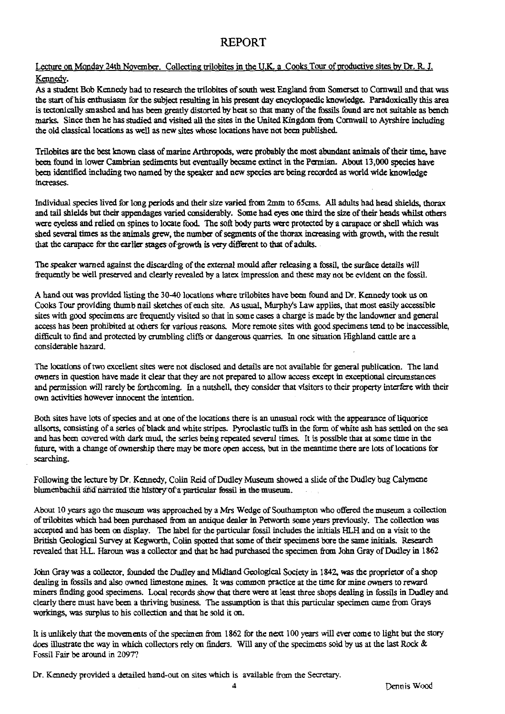## **REPORT**

Lecture on Monday 24th November. Collecting trilobites in the U.K. a Cooks Tour of productive sites by Dr. R. J. Kennedy.

As a student Bob Kennedy had to research the trilobites of south west England from Somerset to Cornwall and that was the start of his enthusiasm, for the subject resulting in his present day encyclopaedic knowledge. Paradoxically this area is tectonically smashed and has been greatly distorted by heat so that many of the fossils found are not suitable as bench marks. Since then he has studied and visited all the sites in the United Kingdom from Cornwall to Ayrshire including the old classical locations as well as new sites whose locations have not been published.

Trilobites are the best known class of marine Arthropods, were probably the most abundant animals of their time, have been found in lower Cambrian sediments but eventually became extinct in the Permian. About 13,000 species have been identified including two named by the speaker and new species are being recorded as world wide knowledge increases.

Individual species lived for long periods and their size varied from 2mrn to 65cros. All adults had head shields, thorax and tail shields but their appendages varied considerably. Some had eyes one third the size of their heads whilst others were eyeless and relied on spines to locate food. The soft body parts were protected by a carapace or shell which was shed several times as the animals grew, the number of segments of the thorax increasing with growth, with the result that the carapace for the earlier stages of growth is very different to that of adults.

The speaker warned against the discarding of the *extern*al mould *after* releasing a fossil, the surface details will frequently be well preserved and clearly revealed by a latex impression and these may not be evident on the fossil.

A hand out was provided listing the 30-40 locations where trilobites have been found and Dr. Kennedy took us on Cooks Tour providing thumb nail sketches of each site. As usual, Murphy's Law applies, that most easily accessible sites with good specimens are frequently visited so that in some cases a charge is made by the landowner and general access has been prohibited at others for various reasons. More remote sites with good specimens tend to be inaccessible, difficult to find and protected by crumbling cliffs or dangerous quarries. In one situation Highland cattle are a considerable hazard.

The locations of two excellent sites were not disclosed and details are not available for general publication. The land owners in question have made it clear that they are not prepared to allow access except in exceptional circumstances and permission will rarely be forthcoming. In a nutshell, they consider that visitors to their property interfere with their own activities however innocent the intention.

Both sites have lots of species and at one of the locations there is an unusual rock with the appearance of liquorice allsorts, consisting of a series of black and white stripes. Pyroclastic tuffs in the form of white ash has settled on the sea and has been covered with dark mud, the series being repeated several times. It is possible that at some time in the future, with a change of ownership there may be more open access, but in the meantime there are lots of locations for searching.

Following the lecture by Dr. Kennedy, Colin Reid of Dudley Museum showed a slide of the Dudley bug Calymene blumenbachii and narrated the history of a particular fossil in the museum.

About 10 years ago the museum was approached *by a* Mrs Wedge of Southampton who offered the museum a collection of trilobites which had been purchased from an antique dealer in Petworth some years previously. The collection was accepted and has been on display. The label for the particular fossil includes the initials HLH and on a visit to the British Geological Survey at Kegworth, Colin spotted that some of their specimens bore the same initials. Research revealed that H.L. Haroun was a collector and that he had purchased the specimen from John Gray of Dudley in 1862

John Gray **was** a collector, founded the Dudley and Midland Geological Society in 1842, was the proprietor of a shop dealing in fossils and also owned limestone mines. It was common practice at the time for mine owners to reward miners finding good specimens. Local records show that there were at least three shops dealing in fossils in Dudley and clearly there must have been a thriving business. The assumption is that this particular specimen came from Grays workings, was surplus to his collection and that he sold it on.

It is unlikely that the movements of the specimen from 1862 for the next 100 years will ever come to light but the story does illustrate the way in which collectors rely on finders. Will any of the specimens sold by us at the last Rock & Fossil Fair be around in 2097?

Dr. Kennedy provided a detailed hand-out on sites which is available from the Secretary.